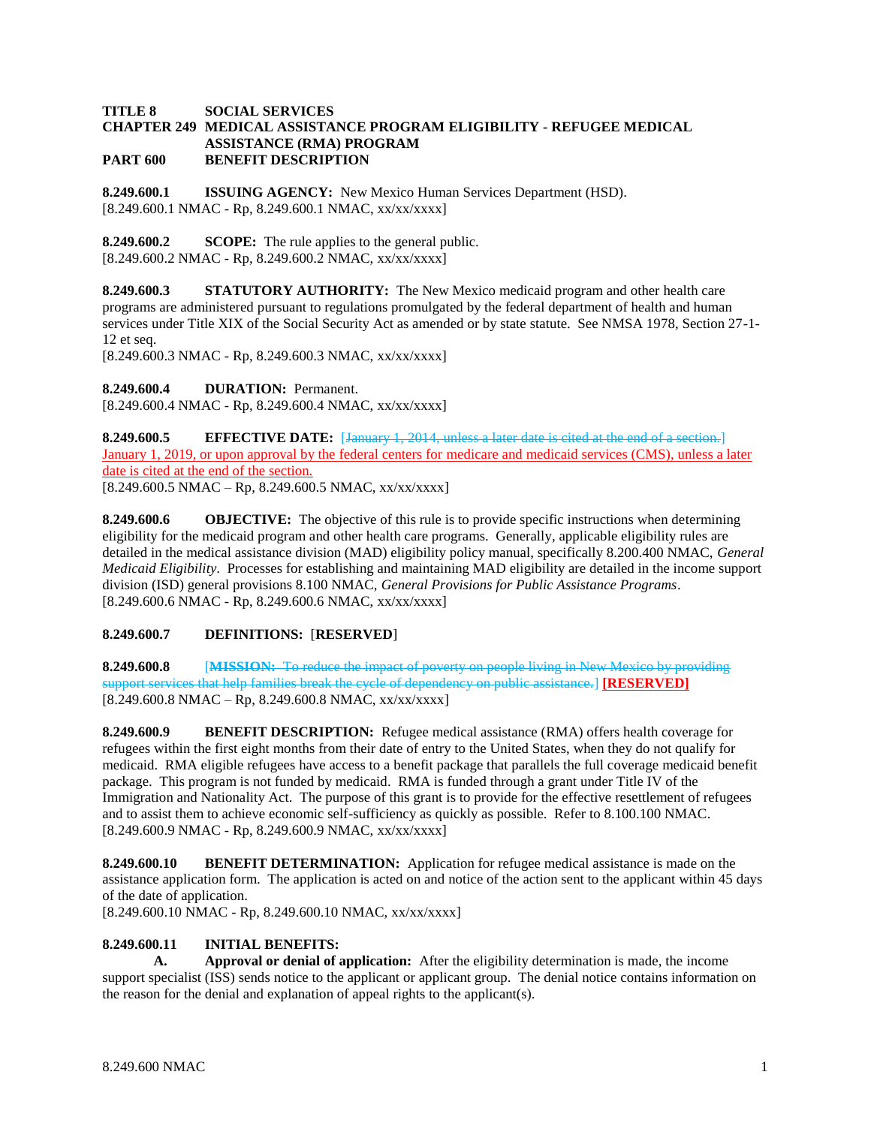### **TITLE 8 SOCIAL SERVICES CHAPTER 249 MEDICAL ASSISTANCE PROGRAM ELIGIBILITY - REFUGEE MEDICAL ASSISTANCE (RMA) PROGRAM PART 600 BENEFIT DESCRIPTION**

**8.249.600.1 ISSUING AGENCY:** New Mexico Human Services Department (HSD). [8.249.600.1 NMAC - Rp, 8.249.600.1 NMAC, xx/xx/xxxx]

**8.249.600.2 SCOPE:** The rule applies to the general public.  $[8.249.600.2 NMAC - Rp, 8.249.600.2 NMAC, xx/xx/xxx]$ 

**8.249.600.3 STATUTORY AUTHORITY:** The New Mexico medicaid program and other health care programs are administered pursuant to regulations promulgated by the federal department of health and human services under Title XIX of the Social Security Act as amended or by state statute. See NMSA 1978, Section 27-1- 12 et seq.

[8.249.600.3 NMAC - Rp, 8.249.600.3 NMAC, xx/xx/xxxx]

**8.249.600.4 DURATION:** Permanent.

[8.249.600.4 NMAC - Rp, 8.249.600.4 NMAC, xx/xx/xxxx]

**8.249.600.5 EFFECTIVE DATE:** [January 1, 2014, unless a later date is cited at the end of a section.] January 1, 2019, or upon approval by the federal centers for medicare and medicaid services (CMS), unless a later date is cited at the end of the section.  $[8.249.600.5 \text{ NMAC} - \text{Rp}, 8.249.600.5 \text{ NMAC}, xx/xxxxx]$ 

**8.249.600.6 OBJECTIVE:** The objective of this rule is to provide specific instructions when determining eligibility for the medicaid program and other health care programs. Generally, applicable eligibility rules are detailed in the medical assistance division (MAD) eligibility policy manual, specifically 8.200.400 NMAC, *General Medicaid Eligibility*. Processes for establishing and maintaining MAD eligibility are detailed in the income support division (ISD) general provisions 8.100 NMAC, *General Provisions for Public Assistance Programs*. [8.249.600.6 NMAC - Rp, 8.249.600.6 NMAC, xx/xx/xxxx]

# **8.249.600.7 DEFINITIONS:** [**RESERVED**]

**8.249.600.8** [**MISSION:** To reduce the impact of poverty on people living in New Mexico by providing support services that help families break the cycle of dependency on public assistance.] **[RESERVED]**  $[8.249.600.8 \text{ NMAC} - \text{Rp}, 8.249.600.8 \text{ NMAC}, xx/xx/xxxx]$ 

**8.249.600.9 BENEFIT DESCRIPTION:** Refugee medical assistance (RMA) offers health coverage for refugees within the first eight months from their date of entry to the United States, when they do not qualify for medicaid. RMA eligible refugees have access to a benefit package that parallels the full coverage medicaid benefit package. This program is not funded by medicaid. RMA is funded through a grant under Title IV of the Immigration and Nationality Act. The purpose of this grant is to provide for the effective resettlement of refugees and to assist them to achieve economic self-sufficiency as quickly as possible. Refer to 8.100.100 NMAC. [8.249.600.9 NMAC - Rp, 8.249.600.9 NMAC, xx/xx/xxxx]

**8.249.600.10 BENEFIT DETERMINATION:** Application for refugee medical assistance is made on the assistance application form. The application is acted on and notice of the action sent to the applicant within 45 days of the date of application.

[8.249.600.10 NMAC - Rp, 8.249.600.10 NMAC, xx/xx/xxxx]

# **8.249.600.11 INITIAL BENEFITS:**

**A. Approval or denial of application:** After the eligibility determination is made, the income support specialist (ISS) sends notice to the applicant or applicant group. The denial notice contains information on the reason for the denial and explanation of appeal rights to the applicant(s).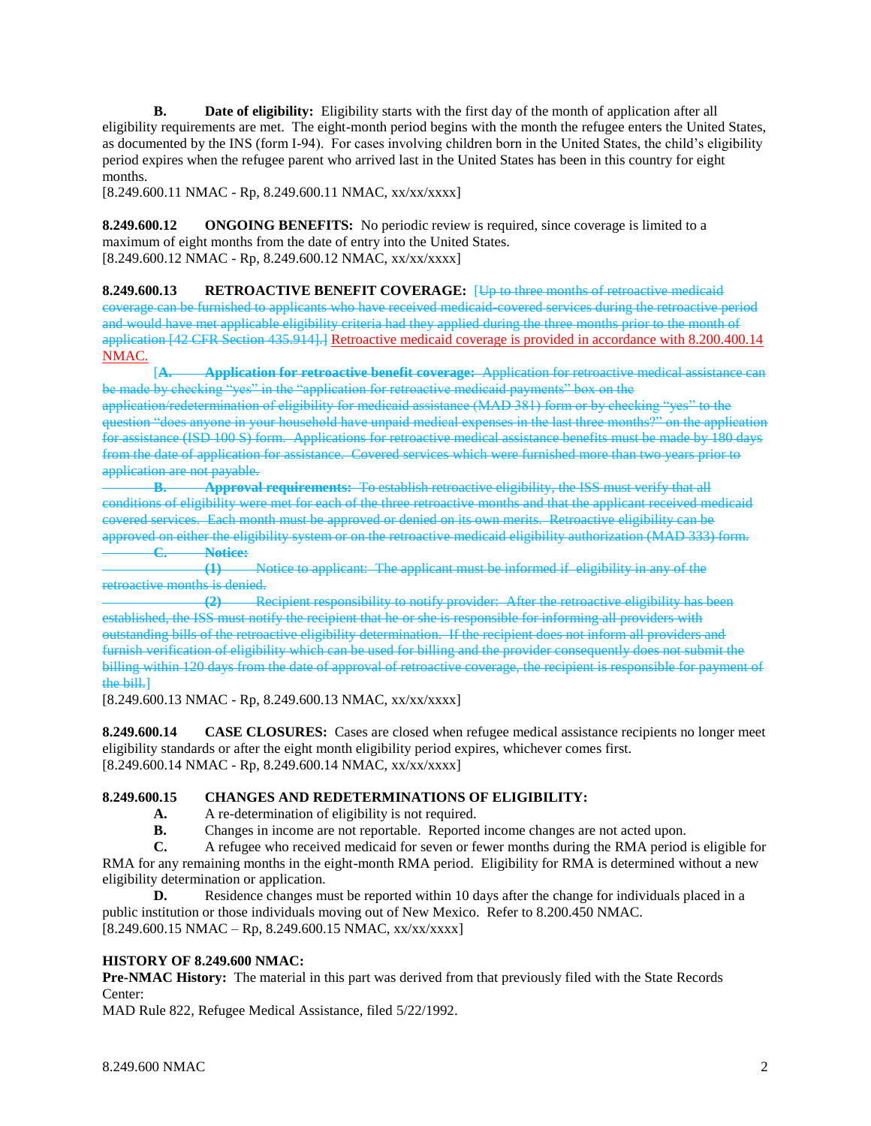**B. Date of eligibility:** Eligibility starts with the first day of the month of application after all eligibility requirements are met. The eight-month period begins with the month the refugee enters the United States, as documented by the INS (form I-94). For cases involving children born in the United States, the child's eligibility period expires when the refugee parent who arrived last in the United States has been in this country for eight months.

[8.249.600.11 NMAC - Rp, 8.249.600.11 NMAC, xx/xx/xxxx]

**8.249.600.12 ONGOING BENEFITS:** No periodic review is required, since coverage is limited to a maximum of eight months from the date of entry into the United States. [8.249.600.12 NMAC - Rp, 8.249.600.12 NMAC, xx/xx/xxxx]

**8.249.600.13 RETROACTIVE BENEFIT COVERAGE:** [Up to three months of retroactive medicaid coverage can be furnished to applicants who have received medicaid-covered services during the retroactive period and would have met applicable eligibility criteria had they applied during the three months prior to the month of application [42 CFR Section 435.914].] Retroactive medicaid coverage is provided in accordance with 8.200.400.14 NMAC.

[**A. Application for retroactive benefit coverage:** Application for retroactive medical assistance can be made by checking "yes" in the "application for retroactive medicaid payments" box on the application/redetermination of eligibility for medicaid assistance (MAD 381) form or by checking "yes" to the question "does anyone in your household have unpaid medical expenses in the last three months?" on the application for assistance (ISD 100 S) form. Applications for retroactive medical assistance benefits must be made by 180 days from the date of application for assistance. Covered services which were furnished more than two years prior to application are not payable.

**B. Approval requirements:** To establish retroactive eligibility, the ISS must verify that all conditions of eligibility were met for each of the three retroactive months and that the applicant received medicaid covered services. Each month must be approved or denied on its own merits. Retroactive eligibility can be approved on either the eligibility system or on the retroactive medicaid eligibility authorization (MAD 333) form. **C. Notice:**

**(1)** Notice to applicant: The applicant must be informed if eligibility in any of the retroactive months is denied.

**(2)** Recipient responsibility to notify provider: After the retroactive eligibility has been established, the ISS must notify the recipient that he or she is responsible for informing all providers with outstanding bills of the retroactive eligibility determination. If the recipient does not inform all providers and furnish verification of eligibility which can be used for billing and the provider consequently does not submit the billing within 120 days from the date of approval of retroactive coverage, the recipient is responsible for payment of the bill.]

[8.249.600.13 NMAC - Rp, 8.249.600.13 NMAC, xx/xx/xxxx]

**8.249.600.14 CASE CLOSURES:** Cases are closed when refugee medical assistance recipients no longer meet eligibility standards or after the eight month eligibility period expires, whichever comes first. [8.249.600.14 NMAC - Rp, 8.249.600.14 NMAC, xx/xx/xxxx]

# **8.249.600.15 CHANGES AND REDETERMINATIONS OF ELIGIBILITY:**

- **A.** A re-determination of eligibility is not required.
- **B.** Changes in income are not reportable. Reported income changes are not acted upon.

**C.** A refugee who received medicaid for seven or fewer months during the RMA period is eligible for RMA for any remaining months in the eight-month RMA period. Eligibility for RMA is determined without a new eligibility determination or application.

**D.** Residence changes must be reported within 10 days after the change for individuals placed in a public institution or those individuals moving out of New Mexico. Refer to 8.200.450 NMAC. [8.249.600.15 NMAC – Rp, 8.249.600.15 NMAC, xx/xx/xxxx]

# **HISTORY OF 8.249.600 NMAC:**

**Pre-NMAC History:** The material in this part was derived from that previously filed with the State Records Center:

MAD Rule 822, Refugee Medical Assistance, filed 5/22/1992.